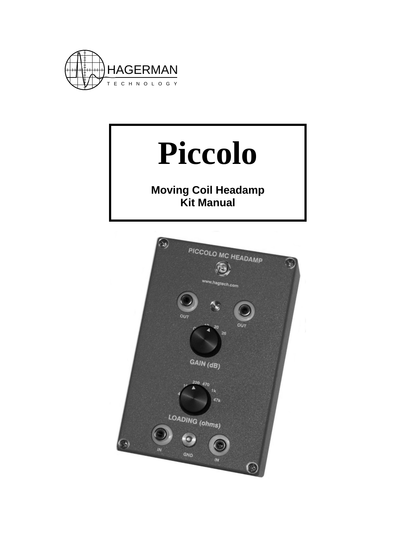



#### **Moving Coil Headamp Kit Manual**

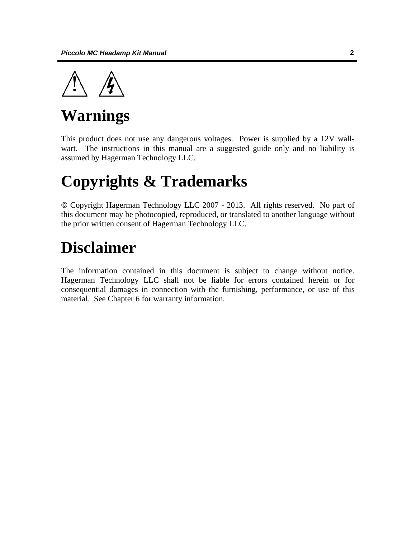

#### **Warnings**

This product does not use any dangerous voltages. Power is supplied by a 12V wallwart. The instructions in this manual are a suggested guide only and no liability is assumed by Hagerman Technology LLC.

#### **Copyrights & Trademarks**

© Copyright Hagerman Technology LLC 2007 - 2013. All rights reserved. No part of this document may be photocopied, reproduced, or translated to another language without the prior written consent of Hagerman Technology LLC.

#### **Disclaimer**

The information contained in this document is subject to change without notice. Hagerman Technology LLC shall not be liable for errors contained herein or for consequential damages in connection with the furnishing, performance, or use of this material. See Chapter 6 for warranty information.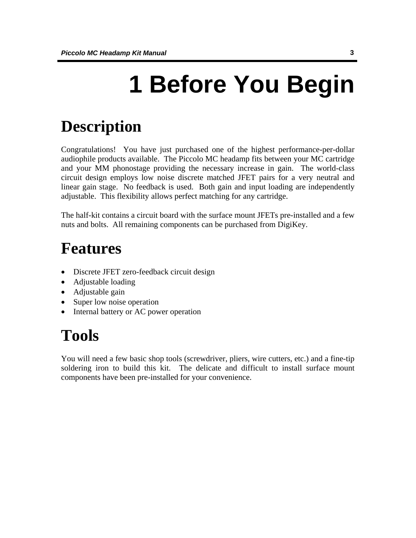# **1 Before You Begin**

#### **Description**

Congratulations! You have just purchased one of the highest performance-per-dollar audiophile products available. The Piccolo MC headamp fits between your MC cartridge and your MM phonostage providing the necessary increase in gain. The world-class circuit design employs low noise discrete matched JFET pairs for a very neutral and linear gain stage. No feedback is used. Both gain and input loading are independently adjustable. This flexibility allows perfect matching for any cartridge.

The half-kit contains a circuit board with the surface mount JFETs pre-installed and a few nuts and bolts. All remaining components can be purchased from DigiKey.

#### **Features**

- Discrete JFET zero-feedback circuit design
- Adjustable loading
- Adjustable gain
- Super low noise operation
- Internal battery or AC power operation

#### **Tools**

You will need a few basic shop tools (screwdriver, pliers, wire cutters, etc.) and a fine-tip soldering iron to build this kit. The delicate and difficult to install surface mount components have been pre-installed for your convenience.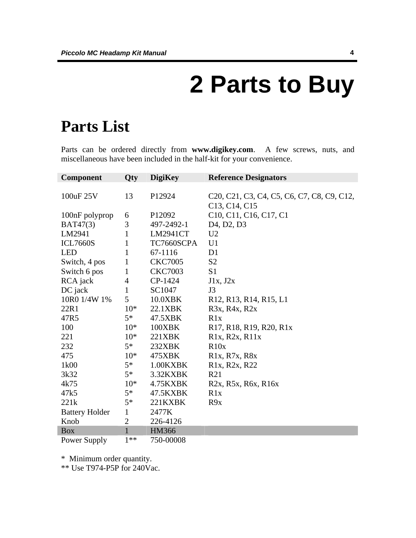### **2 Parts to Buy**

#### **Parts List**

Parts can be ordered directly from **www.digikey.com**. A few screws, nuts, and miscellaneous have been included in the half-kit for your convenience.

| Component             | <b>Qty</b>     | <b>DigiKey</b>  | <b>Reference Designators</b>                                                                                                                                                 |
|-----------------------|----------------|-----------------|------------------------------------------------------------------------------------------------------------------------------------------------------------------------------|
|                       |                |                 |                                                                                                                                                                              |
| 100uF 25V             | 13             | P12924          | C <sub>20</sub> , C <sub>21</sub> , C <sub>3</sub> , C <sub>4</sub> , C <sub>5</sub> , C <sub>6</sub> , C <sub>7</sub> , C <sub>8</sub> , C <sub>9</sub> , C <sub>12</sub> , |
|                       |                |                 | C13, C14, C15                                                                                                                                                                |
| 100nF polyprop        | 6              | P12092          | C10, C11, C16, C17, C1                                                                                                                                                       |
| <b>BAT47(3)</b>       | 3              | 497-2492-1      | D <sub>4</sub> , D <sub>2</sub> , D <sub>3</sub>                                                                                                                             |
| LM2941                | $\mathbf{1}$   | <b>LM2941CT</b> | U <sub>2</sub>                                                                                                                                                               |
| <b>ICL7660S</b>       | 1              | TC7660SCPA      | U <sub>1</sub>                                                                                                                                                               |
| <b>LED</b>            | $\mathbf{1}$   | 67-1116         | D <sub>1</sub>                                                                                                                                                               |
| Switch, 4 pos         | $\mathbf{1}$   | <b>CKC7005</b>  | S <sub>2</sub>                                                                                                                                                               |
| Switch 6 pos          | 1              | <b>CKC7003</b>  | S <sub>1</sub>                                                                                                                                                               |
| RCA jack              | 4              | CP-1424         | J1x, J2x                                                                                                                                                                     |
| DC jack               | $\mathbf{1}$   | SC1047          | J3                                                                                                                                                                           |
| 10R0 1/4W 1%          | 5              | 10.0XBK         | R12, R13, R14, R15, L1                                                                                                                                                       |
| 22R1                  | $10*$          | 22.1XBK         | $R3x$ , $R4x$ , $R2x$                                                                                                                                                        |
| 47R5                  | $5*$           | 47.5XBK         | R1x                                                                                                                                                                          |
| 100                   | $10*$          | 100XBK          | R17, R18, R19, R20, R1x                                                                                                                                                      |
| 221                   | $10*$          | 221XBK          | $R1x$ , $R2x$ , $R11x$                                                                                                                                                       |
| 232                   | $5*$           | 232XBK          | R10x                                                                                                                                                                         |
| 475                   | $10*$          | 475XBK          | R1x, R7x, R8x                                                                                                                                                                |
| 1k00                  | $5*$           | 1.00KXBK        | R <sub>1</sub> x, R <sub>2x</sub> , R <sub>22</sub>                                                                                                                          |
| 3k32                  | $5*$           | 3.32KXBK        | R21                                                                                                                                                                          |
| 4k75                  | $10*$          | 4.75KXBK        | $R2x$ , $R5x$ , $R6x$ , $R16x$                                                                                                                                               |
| 47k5                  | $5*$           | 47.5KXBK        | R1x                                                                                                                                                                          |
| 221k                  | $5*$           | 221KXBK         | R9x                                                                                                                                                                          |
| <b>Battery Holder</b> | 1              | 2477K           |                                                                                                                                                                              |
| Knob                  | $\overline{2}$ | 226-4126        |                                                                                                                                                                              |
| <b>Box</b>            | $\mathbf{1}$   | <b>HM366</b>    |                                                                                                                                                                              |
| Power Supply          | $1**$          | 750-00008       |                                                                                                                                                                              |

\* Minimum order quantity.

\*\* Use T974-P5P for 240Vac.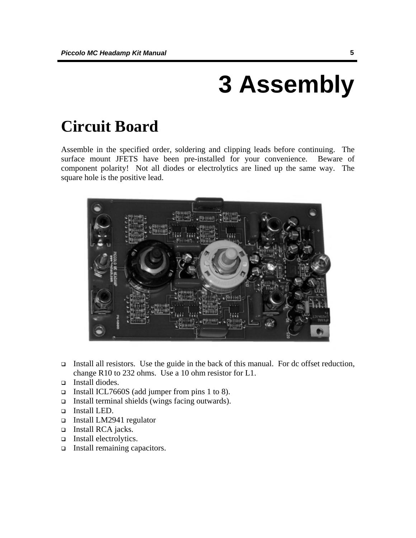# **3 Assembly**

#### **Circuit Board**

Assemble in the specified order, soldering and clipping leads before continuing. The surface mount JFETS have been pre-installed for your convenience. Beware of component polarity! Not all diodes or electrolytics are lined up the same way. The square hole is the positive lead.



- Install all resistors. Use the guide in the back of this manual. For dc offset reduction, change R10 to 232 ohms. Use a 10 ohm resistor for L1.
- Install diodes.
- Install ICL7660S (add jumper from pins 1 to 8).
- □ Install terminal shields (wings facing outwards).
- Install LED.
- □ Install LM2941 regulator
- □ Install RCA jacks.
- Install electrolytics.
- Install remaining capacitors.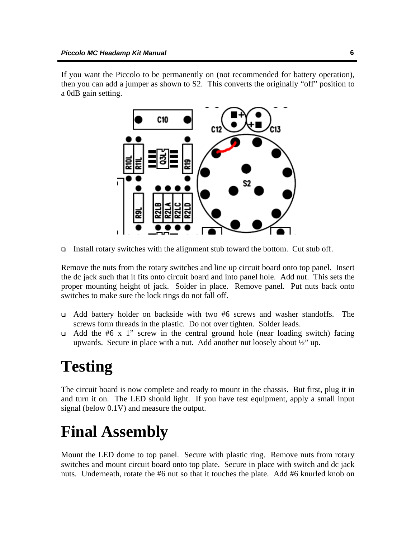If you want the Piccolo to be permanently on (not recommended for battery operation), then you can add a jumper as shown to S2. This converts the originally "off" position to a 0dB gain setting.



Install rotary switches with the alignment stub toward the bottom. Cut stub off.

Remove the nuts from the rotary switches and line up circuit board onto top panel. Insert the dc jack such that it fits onto circuit board and into panel hole. Add nut. This sets the proper mounting height of jack. Solder in place. Remove panel. Put nuts back onto switches to make sure the lock rings do not fall off.

- Add battery holder on backside with two #6 screws and washer standoffs. The screws form threads in the plastic. Do not over tighten. Solder leads.
- $\Box$  Add the #6 x 1" screw in the central ground hole (near loading switch) facing upwards. Secure in place with a nut. Add another nut loosely about ½" up.

#### **Testing**

The circuit board is now complete and ready to mount in the chassis. But first, plug it in and turn it on. The LED should light. If you have test equipment, apply a small input signal (below 0.1V) and measure the output.

#### **Final Assembly**

Mount the LED dome to top panel. Secure with plastic ring. Remove nuts from rotary switches and mount circuit board onto top plate. Secure in place with switch and dc jack nuts. Underneath, rotate the #6 nut so that it touches the plate. Add #6 knurled knob on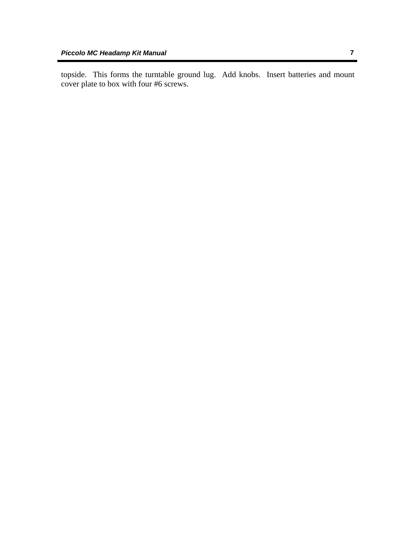topside. This forms the turntable ground lug. Add knobs. Insert batteries and mount cover plate to box with four #6 screws.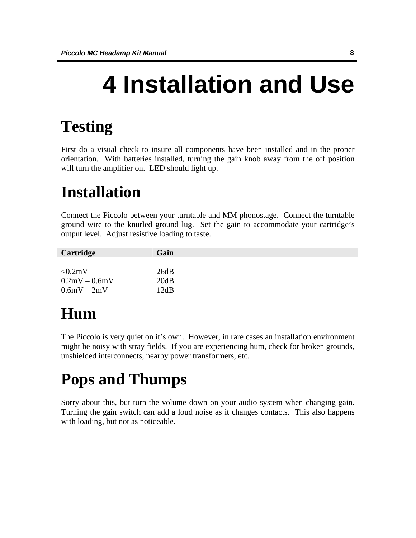# **4 Installation and Use**

### **Testing**

First do a visual check to insure all components have been installed and in the proper orientation. With batteries installed, turning the gain knob away from the off position will turn the amplifier on. LED should light up.

#### **Installation**

Connect the Piccolo between your turntable and MM phonostage. Connect the turntable ground wire to the knurled ground lug. Set the gain to accommodate your cartridge's output level. Adjust resistive loading to taste.

| Cartridge       | <b>Gain</b> |
|-----------------|-------------|
| $< 0.2$ mV      | 26dB        |
| $0.2mV - 0.6mV$ | 20dB        |
| $0.6mV - 2mV$   | 12dB        |

#### **Hum**

The Piccolo is very quiet on it's own. However, in rare cases an installation environment might be noisy with stray fields. If you are experiencing hum, check for broken grounds, unshielded interconnects, nearby power transformers, etc.

#### **Pops and Thumps**

Sorry about this, but turn the volume down on your audio system when changing gain. Turning the gain switch can add a loud noise as it changes contacts. This also happens with loading, but not as noticeable.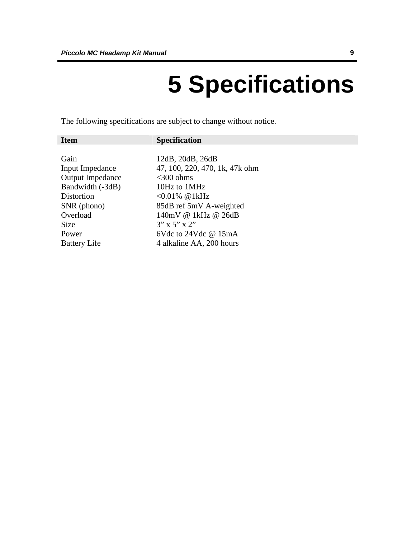## **5 Specifications**

The following specifications are subject to change without notice.

| <b>Item</b>             | <b>Specification</b>           |
|-------------------------|--------------------------------|
|                         |                                |
| Gain                    | 12dB, 20dB, 26dB               |
| Input Impedance         | 47, 100, 220, 470, 1k, 47k ohm |
| <b>Output Impedance</b> | $<$ 300 ohms                   |
| Bandwidth (-3dB)        | 10Hz to 1MHz                   |
| Distortion              | $< 0.01\%$ @ 1 kHz             |
| SNR (phono)             | 85dB ref 5mV A-weighted        |
| Overload                | 140mV @ 1kHz @ 26dB            |
| <b>Size</b>             | $3'' \times 5'' \times 2''$    |
| Power                   | 6Vdc to $24$ Vdc @ $15mA$      |
| <b>Battery Life</b>     | 4 alkaline AA, 200 hours       |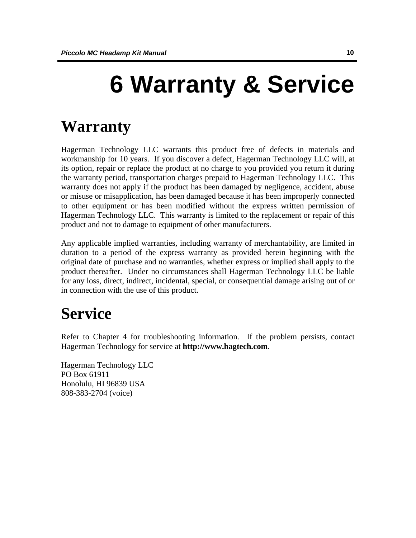# **6 Warranty & Service**

#### **Warranty**

Hagerman Technology LLC warrants this product free of defects in materials and workmanship for 10 years. If you discover a defect, Hagerman Technology LLC will, at its option, repair or replace the product at no charge to you provided you return it during the warranty period, transportation charges prepaid to Hagerman Technology LLC. This warranty does not apply if the product has been damaged by negligence, accident, abuse or misuse or misapplication, has been damaged because it has been improperly connected to other equipment or has been modified without the express written permission of Hagerman Technology LLC. This warranty is limited to the replacement or repair of this product and not to damage to equipment of other manufacturers.

Any applicable implied warranties, including warranty of merchantability, are limited in duration to a period of the express warranty as provided herein beginning with the original date of purchase and no warranties, whether express or implied shall apply to the product thereafter. Under no circumstances shall Hagerman Technology LLC be liable for any loss, direct, indirect, incidental, special, or consequential damage arising out of or in connection with the use of this product.

#### **Service**

Refer to Chapter 4 for troubleshooting information. If the problem persists, contact Hagerman Technology for service at **http://www.hagtech.com**.

Hagerman Technology LLC PO Box 61911 Honolulu, HI 96839 USA 808-383-2704 (voice)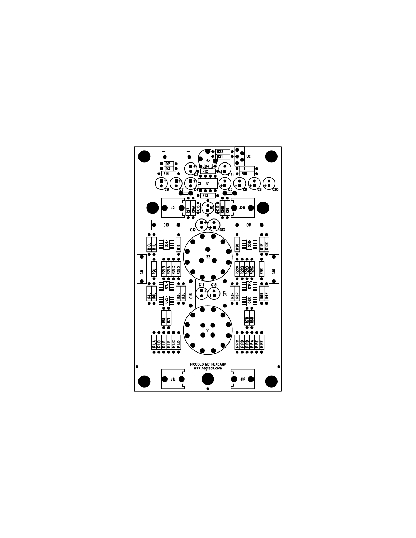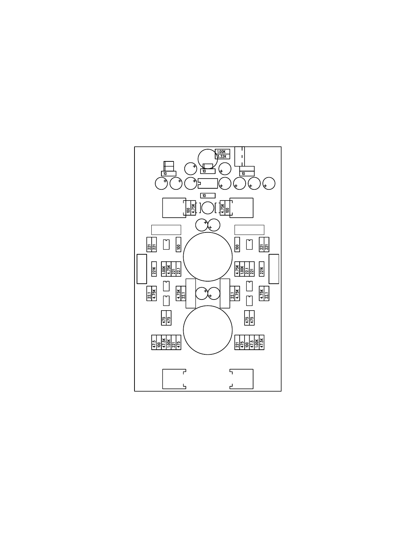